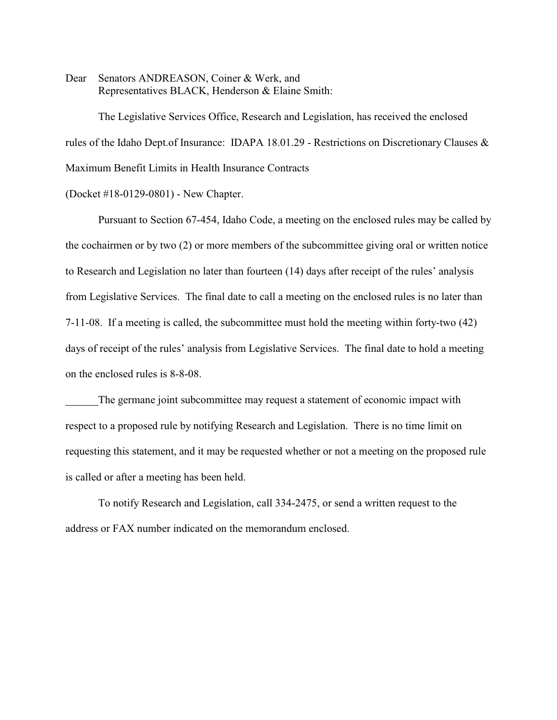Dear Senators ANDREASON, Coiner & Werk, and Representatives BLACK, Henderson & Elaine Smith:

The Legislative Services Office, Research and Legislation, has received the enclosed rules of the Idaho Dept.of Insurance: IDAPA 18.01.29 - Restrictions on Discretionary Clauses & Maximum Benefit Limits in Health Insurance Contracts

(Docket #18-0129-0801) - New Chapter.

Pursuant to Section 67-454, Idaho Code, a meeting on the enclosed rules may be called by the cochairmen or by two (2) or more members of the subcommittee giving oral or written notice to Research and Legislation no later than fourteen (14) days after receipt of the rules' analysis from Legislative Services. The final date to call a meeting on the enclosed rules is no later than 7-11-08. If a meeting is called, the subcommittee must hold the meeting within forty-two (42) days of receipt of the rules' analysis from Legislative Services. The final date to hold a meeting on the enclosed rules is 8-8-08.

The germane joint subcommittee may request a statement of economic impact with respect to a proposed rule by notifying Research and Legislation. There is no time limit on requesting this statement, and it may be requested whether or not a meeting on the proposed rule is called or after a meeting has been held.

To notify Research and Legislation, call 334-2475, or send a written request to the address or FAX number indicated on the memorandum enclosed.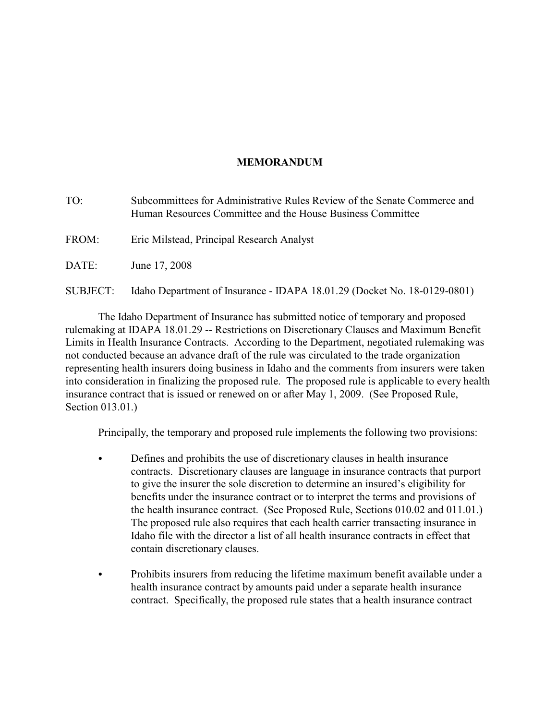# **MEMORANDUM**

TO: Subcommittees for Administrative Rules Review of the Senate Commerce and Human Resources Committee and the House Business Committee FROM: Eric Milstead, Principal Research Analyst DATE: June 17, 2008 SUBJECT: Idaho Department of Insurance - IDAPA 18.01.29 (Docket No. 18-0129-0801)

The Idaho Department of Insurance has submitted notice of temporary and proposed rulemaking at IDAPA 18.01.29 -- Restrictions on Discretionary Clauses and Maximum Benefit Limits in Health Insurance Contracts. According to the Department, negotiated rulemaking was not conducted because an advance draft of the rule was circulated to the trade organization representing health insurers doing business in Idaho and the comments from insurers were taken into consideration in finalizing the proposed rule. The proposed rule is applicable to every health insurance contract that is issued or renewed on or after May 1, 2009. (See Proposed Rule, Section 013.01.)

Principally, the temporary and proposed rule implements the following two provisions:

- Defines and prohibits the use of discretionary clauses in health insurance contracts. Discretionary clauses are language in insurance contracts that purport to give the insurer the sole discretion to determine an insured's eligibility for benefits under the insurance contract or to interpret the terms and provisions of the health insurance contract. (See Proposed Rule, Sections 010.02 and 011.01.) The proposed rule also requires that each health carrier transacting insurance in Idaho file with the director a list of all health insurance contracts in effect that contain discretionary clauses.
- Prohibits insurers from reducing the lifetime maximum benefit available under a health insurance contract by amounts paid under a separate health insurance contract. Specifically, the proposed rule states that a health insurance contract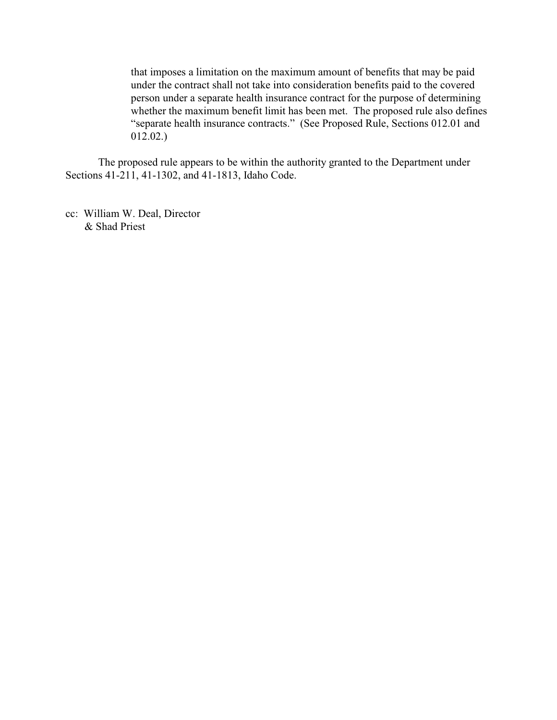that imposes a limitation on the maximum amount of benefits that may be paid under the contract shall not take into consideration benefits paid to the covered person under a separate health insurance contract for the purpose of determining whether the maximum benefit limit has been met. The proposed rule also defines "separate health insurance contracts." (See Proposed Rule, Sections 012.01 and 012.02.)

The proposed rule appears to be within the authority granted to the Department under Sections 41-211, 41-1302, and 41-1813, Idaho Code.

cc: William W. Deal, Director & Shad Priest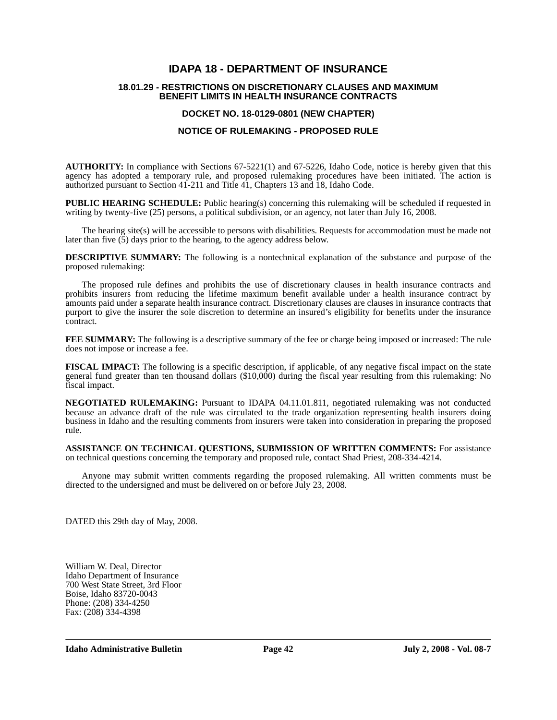## **IDAPA 18 - DEPARTMENT OF INSURANCE**

#### **18.01.29 - RESTRICTIONS ON DISCRETIONARY CLAUSES AND MAXIMUM BENEFIT LIMITS IN HEALTH INSURANCE CONTRACTS**

## **DOCKET NO. 18-0129-0801 (NEW CHAPTER)**

## **NOTICE OF RULEMAKING - PROPOSED RULE**

**AUTHORITY:** In compliance with Sections 67-5221(1) and 67-5226, Idaho Code, notice is hereby given that this agency has adopted a temporary rule, and proposed rulemaking procedures have been initiated. The action is authorized pursuant to Section 41-211 and Title 41, Chapters 13 and 18, Idaho Code.

**PUBLIC HEARING SCHEDULE:** Public hearing(s) concerning this rulemaking will be scheduled if requested in writing by twenty-five (25) persons, a political subdivision, or an agency, not later than July 16, 2008.

The hearing site(s) will be accessible to persons with disabilities. Requests for accommodation must be made not later than five  $(5)$  days prior to the hearing, to the agency address below.

**DESCRIPTIVE SUMMARY:** The following is a nontechnical explanation of the substance and purpose of the proposed rulemaking:

The proposed rule defines and prohibits the use of discretionary clauses in health insurance contracts and prohibits insurers from reducing the lifetime maximum benefit available under a health insurance contract by amounts paid under a separate health insurance contract. Discretionary clauses are clauses in insurance contracts that purport to give the insurer the sole discretion to determine an insured's eligibility for benefits under the insurance contract.

**FEE SUMMARY:** The following is a descriptive summary of the fee or charge being imposed or increased: The rule does not impose or increase a fee.

**FISCAL IMPACT:** The following is a specific description, if applicable, of any negative fiscal impact on the state general fund greater than ten thousand dollars (\$10,000) during the fiscal year resulting from this rulemaking: No fiscal impact.

**NEGOTIATED RULEMAKING:** Pursuant to IDAPA 04.11.01.811, negotiated rulemaking was not conducted because an advance draft of the rule was circulated to the trade organization representing health insurers doing business in Idaho and the resulting comments from insurers were taken into consideration in preparing the proposed rule.

**ASSISTANCE ON TECHNICAL QUESTIONS, SUBMISSION OF WRITTEN COMMENTS:** For assistance on technical questions concerning the temporary and proposed rule, contact Shad Priest, 208-334-4214.

Anyone may submit written comments regarding the proposed rulemaking. All written comments must be directed to the undersigned and must be delivered on or before July 23, 2008.

DATED this 29th day of May, 2008.

William W. Deal, Director Idaho Department of Insurance 700 West State Street, 3rd Floor Boise, Idaho 83720-0043 Phone: (208) 334-4250 Fax: (208) 334-4398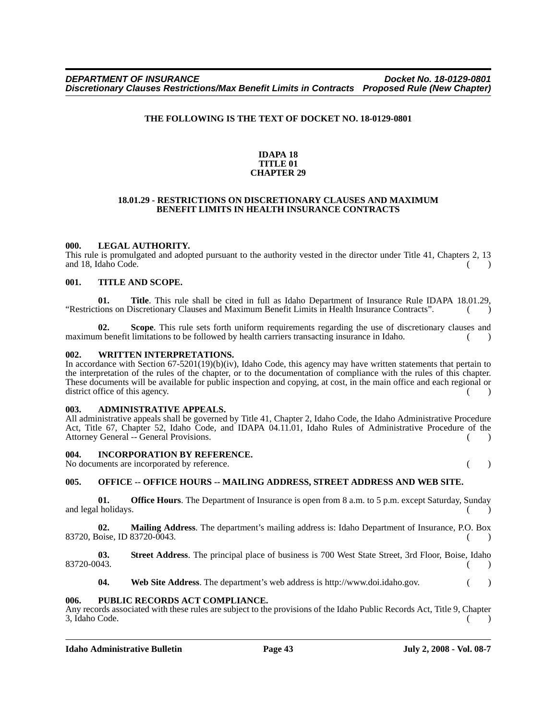## **THE FOLLOWING IS THE TEXT OF DOCKET NO. 18-0129-0801**

#### **IDAPA 18 TITLE 01 CHAPTER 29**

#### **18.01.29 - RESTRICTIONS ON DISCRETIONARY CLAUSES AND MAXIMUM BENEFIT LIMITS IN HEALTH INSURANCE CONTRACTS**

## **000. LEGAL AUTHORITY.**

This rule is promulgated and adopted pursuant to the authority vested in the director under Title 41, Chapters 2, 13 and 18, Idaho Code. ( )

#### **001. TITLE AND SCOPE.**

**01. Title**. This rule shall be cited in full as Idaho Department of Insurance Rule IDAPA 18.01.29, "Restrictions on Discretionary Clauses and Maximum Benefit Limits in Health Insurance Contracts". ( )

**02. Scope**. This rule sets forth uniform requirements regarding the use of discretionary clauses and maximum benefit limitations to be followed by health carriers transacting insurance in Idaho. ()

#### **002. WRITTEN INTERPRETATIONS.**

In accordance with Section 67-5201(19)(b)(iv), Idaho Code, this agency may have written statements that pertain to the interpretation of the rules of the chapter, or to the documentation of compliance with the rules of this chapter. These documents will be available for public inspection and copying, at cost, in the main office and each regional or district office of this agency.

#### **003. ADMINISTRATIVE APPEALS.**

All administrative appeals shall be governed by Title 41, Chapter 2, Idaho Code, the Idaho Administrative Procedure Act, Title 67, Chapter 52, Idaho Code, and IDAPA 04.11.01, Idaho Rules of Administrative Procedure of the Attorney General -- General Provisions. ( )

#### **004. INCORPORATION BY REFERENCE.**

No documents are incorporated by reference. ( )

## **005. OFFICE -- OFFICE HOURS -- MAILING ADDRESS, STREET ADDRESS AND WEB SITE.**

**01.** Office Hours. The Department of Insurance is open from 8 a.m. to 5 p.m. except Saturday, Sunday and legal holidays.

**02. Mailing Address**. The department's mailing address is: Idaho Department of Insurance, P.O. Box 83720, Boise, ID 83720-0043.

**03.** Street Address. The principal place of business is 700 West State Street, 3rd Floor, Boise, Idaho 83720-0043. 83720-0043. ( )

**04. Web Site Address**. The department's web address is http://www.doi.idaho.gov. ( )

#### **006. PUBLIC RECORDS ACT COMPLIANCE.**

Any records associated with these rules are subject to the provisions of the Idaho Public Records Act, Title 9, Chapter 3, Idaho Code. ( )

**Idaho Administrative Bulletin Page 43 July 2, 2008 - Vol. 08-7**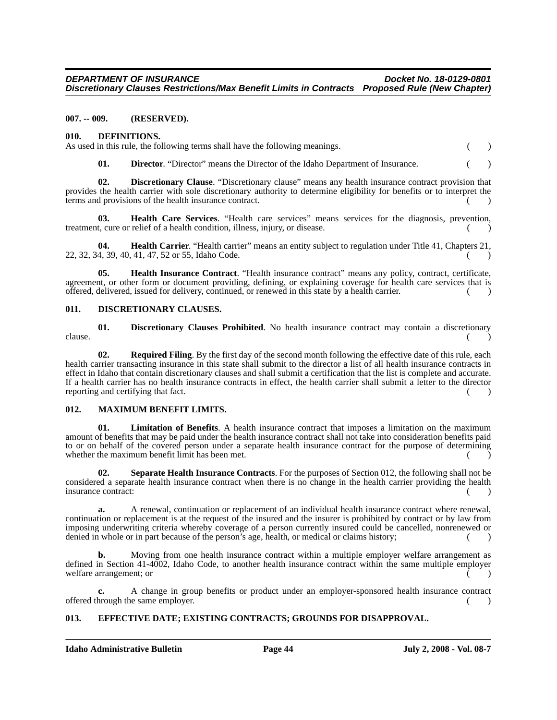#### **007. -- 009. (RESERVED).**

**010. DEFINITIONS.**

|  | As used in this rule, the following terms shall have the following meanings. |  |
|--|------------------------------------------------------------------------------|--|

**01. Director**. "Director" means the Director of the Idaho Department of Insurance. ( )

**02. Discretionary Clause**. "Discretionary clause" means any health insurance contract provision that provides the health carrier with sole discretionary authority to determine eligibility for benefits or to interpret the terms and provisions of the health insurance contract.

**03. Health Care Services**. "Health care services" means services for the diagnosis, prevention, treatment, cure or relief of a health condition, illness, injury, or disease. ( )

**04. Health Carrier**. "Health carrier" means an entity subject to regulation under Title 41, Chapters 21,  $22, 32, 34, 39, 40, 41, 47, 52$  or 55, Idaho Code. ( )

**05. Health Insurance Contract**. "Health insurance contract" means any policy, contract, certificate, agreement, or other form or document providing, defining, or explaining coverage for health care services that is offered, delivered, issued for delivery, continued, or renewed in this state by a health carrier. ( )

#### **011. DISCRETIONARY CLAUSES.**

**01.** Discretionary Clauses Prohibited. No health insurance contract may contain a discretionary  $\blacksquare$  clause.  $\begin{pmatrix} 0 & 1 \\ 0 & 1 \end{pmatrix}$ 

**02. Required Filing**. By the first day of the second month following the effective date of this rule, each health carrier transacting insurance in this state shall submit to the director a list of all health insurance contracts in effect in Idaho that contain discretionary clauses and shall submit a certification that the list is complete and accurate. If a health carrier has no health insurance contracts in effect, the health carrier shall submit a letter to the director reporting and certifying that fact.  $($ )

#### **012. MAXIMUM BENEFIT LIMITS.**

**01. Limitation of Benefits**. A health insurance contract that imposes a limitation on the maximum amount of benefits that may be paid under the health insurance contract shall not take into consideration benefits paid to or on behalf of the covered person under a separate health insurance contract for the purpose of determining whether the maximum benefit limit has been met.

**02. Separate Health Insurance Contracts**. For the purposes of Section 012, the following shall not be considered a separate health insurance contract when there is no change in the health carrier providing the health insurance contract:

**a.** A renewal, continuation or replacement of an individual health insurance contract where renewal, continuation or replacement is at the request of the insured and the insurer is prohibited by contract or by law from imposing underwriting criteria whereby coverage of a person currently insured could be cancelled, nonrenewed or denied in whole or in part because of the person's age, health, or medical or claims history; ( )

**b.** Moving from one health insurance contract within a multiple employer welfare arrangement as defined in Section 41-4002, Idaho Code, to another health insurance contract within the same multiple employer welfare arrangement; or

**c.** A change in group benefits or product under an employer-sponsored health insurance contract offered through the same employer. () ()

## **013. EFFECTIVE DATE; EXISTING CONTRACTS; GROUNDS FOR DISAPPROVAL.**